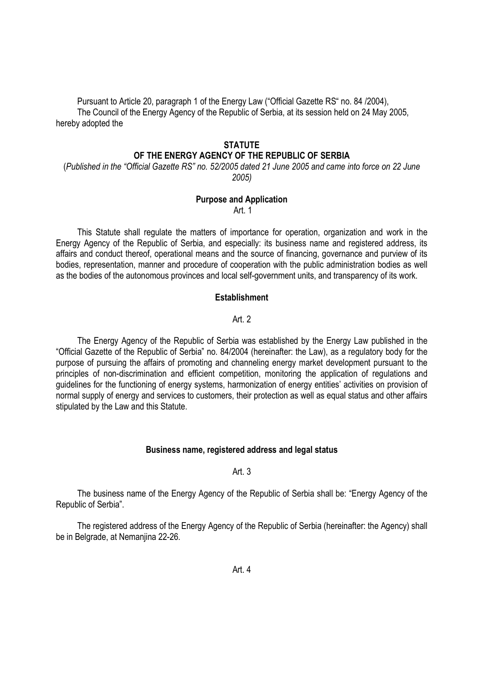Pursuant to Article 20, paragraph 1 of the Energy Law ("Official Gazette RS" no. 84 /2004), The Council of the Energy Agency of the Republic of Serbia, at its session held on 24 May 2005, hereby adopted the

# **STATUTE** OF THE ENERGY AGENCY OF THE REPUBLIC OF SERBIA

(Published in the "Official Gazette RS" no. 52/2005 dated 21 June 2005 and came into force on 22 June 2005)

# Purpose and Application

Art. 1

This Statute shall regulate the matters of importance for operation, organization and work in the Energy Agency of the Republic of Serbia, and especially: its business name and registered address, its affairs and conduct thereof, operational means and the source of financing, governance and purview of its bodies, representation, manner and procedure of cooperation with the public administration bodies as well as the bodies of the autonomous provinces and local self-government units, and transparency of its work.

### **Establishment**

### Art. 2

The Energy Agency of the Republic of Serbia was established by the Energy Law published in the "Official Gazette of the Republic of Serbia" no. 84/2004 (hereinafter: the Law), as a regulatory body for the purpose of pursuing the affairs of promoting and channeling energy market development pursuant to the principles of non-discrimination and efficient competition, monitoring the application of regulations and guidelines for the functioning of energy systems, harmonization of energy entities' activities on provision of normal supply of energy and services to customers, their protection as well as equal status and other affairs stipulated by the Law and this Statute.

# Business name, registered address and legal status

### Art. 3

The business name of the Energy Agency of the Republic of Serbia shall be: "Energy Agency of the Republic of Serbia".

The registered address of the Energy Agency of the Republic of Serbia (hereinafter: the Agency) shall be in Belgrade, at Nemanjina 22-26.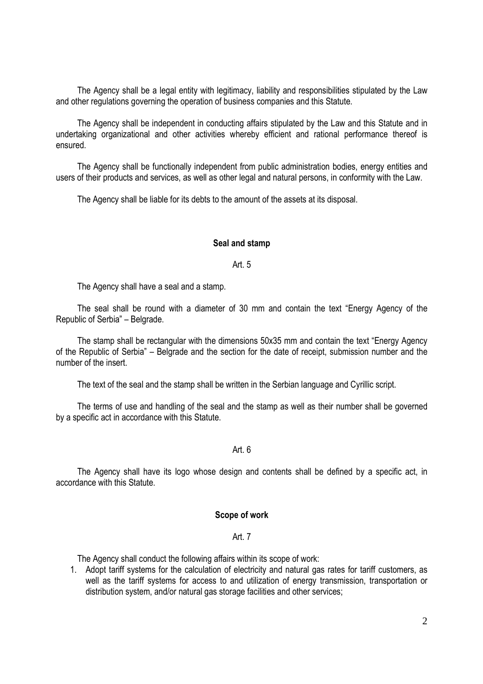The Agency shall be a legal entity with legitimacy, liability and responsibilities stipulated by the Law and other regulations governing the operation of business companies and this Statute.

The Agency shall be independent in conducting affairs stipulated by the Law and this Statute and in undertaking organizational and other activities whereby efficient and rational performance thereof is ensured.

The Agency shall be functionally independent from public administration bodies, energy entities and users of their products and services, as well as other legal and natural persons, in conformity with the Law.

The Agency shall be liable for its debts to the amount of the assets at its disposal.

#### Seal and stamp

#### Art. 5

The Agency shall have a seal and a stamp.

The seal shall be round with a diameter of 30 mm and contain the text "Energy Agency of the Republic of Serbia" – Belgrade.

The stamp shall be rectangular with the dimensions 50x35 mm and contain the text "Energy Agency of the Republic of Serbia" – Belgrade and the section for the date of receipt, submission number and the number of the insert.

The text of the seal and the stamp shall be written in the Serbian language and Cyrillic script.

The terms of use and handling of the seal and the stamp as well as their number shall be governed by a specific act in accordance with this Statute.

### Art. 6

The Agency shall have its logo whose design and contents shall be defined by a specific act, in accordance with this Statute.

#### Scope of work

### Art. 7

The Agency shall conduct the following affairs within its scope of work:

1. Adopt tariff systems for the calculation of electricity and natural gas rates for tariff customers, as well as the tariff systems for access to and utilization of energy transmission, transportation or distribution system, and/or natural gas storage facilities and other services;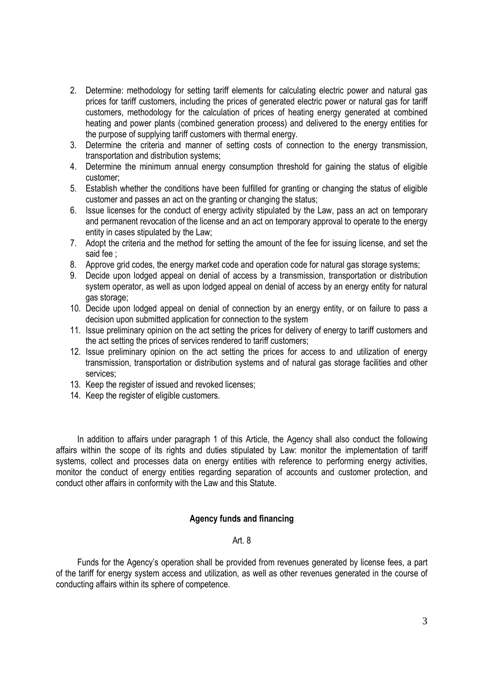- 2. Determine: methodology for setting tariff elements for calculating electric power and natural gas prices for tariff customers, including the prices of generated electric power or natural gas for tariff customers, methodology for the calculation of prices of heating energy generated at combined heating and power plants (combined generation process) and delivered to the energy entities for the purpose of supplying tariff customers with thermal energy.
- 3. Determine the criteria and manner of setting costs of connection to the energy transmission, transportation and distribution systems;
- 4. Determine the minimum annual energy consumption threshold for gaining the status of eligible customer;
- 5. Establish whether the conditions have been fulfilled for granting or changing the status of eligible customer and passes an act on the granting or changing the status;
- 6. Issue licenses for the conduct of energy activity stipulated by the Law, pass an act on temporary and permanent revocation of the license and an act on temporary approval to operate to the energy entity in cases stipulated by the Law;
- 7. Adopt the criteria and the method for setting the amount of the fee for issuing license, and set the said fee ;
- 8. Approve grid codes, the energy market code and operation code for natural gas storage systems;
- 9. Decide upon lodged appeal on denial of access by a transmission, transportation or distribution system operator, as well as upon lodged appeal on denial of access by an energy entity for natural gas storage;
- 10. Decide upon lodged appeal on denial of connection by an energy entity, or on failure to pass a decision upon submitted application for connection to the system
- 11. Issue preliminary opinion on the act setting the prices for delivery of energy to tariff customers and the act setting the prices of services rendered to tariff customers;
- 12. Issue preliminary opinion on the act setting the prices for access to and utilization of energy transmission, transportation or distribution systems and of natural gas storage facilities and other services;
- 13. Keep the register of issued and revoked licenses;
- 14. Keep the register of eligible customers.

In addition to affairs under paragraph 1 of this Article, the Agency shall also conduct the following affairs within the scope of its rights and duties stipulated by Law: monitor the implementation of tariff systems, collect and processes data on energy entities with reference to performing energy activities, monitor the conduct of energy entities regarding separation of accounts and customer protection, and conduct other affairs in conformity with the Law and this Statute.

# Agency funds and financing

### Art. 8

Funds for the Agency's operation shall be provided from revenues generated by license fees, a part of the tariff for energy system access and utilization, as well as other revenues generated in the course of conducting affairs within its sphere of competence.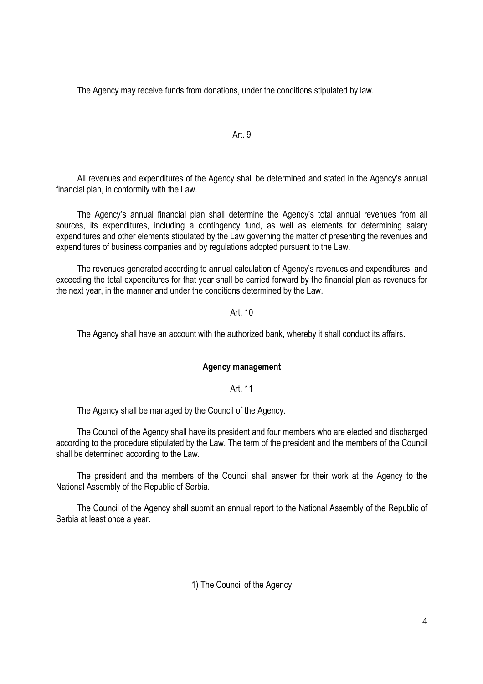The Agency may receive funds from donations, under the conditions stipulated by law.

## Art. 9

All revenues and expenditures of the Agency shall be determined and stated in the Agency's annual financial plan, in conformity with the Law.

The Agency's annual financial plan shall determine the Agency's total annual revenues from all sources, its expenditures, including a contingency fund, as well as elements for determining salary expenditures and other elements stipulated by the Law governing the matter of presenting the revenues and expenditures of business companies and by regulations adopted pursuant to the Law.

The revenues generated according to annual calculation of Agency's revenues and expenditures, and exceeding the total expenditures for that year shall be carried forward by the financial plan as revenues for the next year, in the manner and under the conditions determined by the Law.

### Art. 10

The Agency shall have an account with the authorized bank, whereby it shall conduct its affairs.

### Agency management

Art. 11

The Agency shall be managed by the Council of the Agency.

The Council of the Agency shall have its president and four members who are elected and discharged according to the procedure stipulated by the Law. The term of the president and the members of the Council shall be determined according to the Law.

The president and the members of the Council shall answer for their work at the Agency to the National Assembly of the Republic of Serbia.

The Council of the Agency shall submit an annual report to the National Assembly of the Republic of Serbia at least once a year.

# 1) The Council of the Agency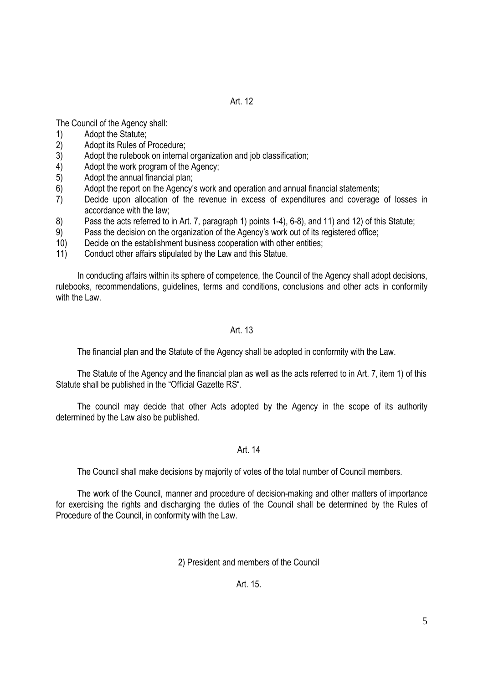The Council of the Agency shall:

- 1) Adopt the Statute;
- 2) Adopt its Rules of Procedure;<br>3) Adopt the rulebook on interna
- Adopt the rulebook on internal organization and job classification;
- 4) Adopt the work program of the Agency;
- 5) Adopt the annual financial plan;
- 6) Adopt the report on the Agency's work and operation and annual financial statements;
- 7) Decide upon allocation of the revenue in excess of expenditures and coverage of losses in accordance with the law;
- 8) Pass the acts referred to in Art. 7, paragraph 1) points 1-4), 6-8), and 11) and 12) of this Statute;
- 9) Pass the decision on the organization of the Agency's work out of its registered office;
- 10) Decide on the establishment business cooperation with other entities;
- 11) Conduct other affairs stipulated by the Law and this Statue.

In conducting affairs within its sphere of competence, the Council of the Agency shall adopt decisions, rulebooks, recommendations, guidelines, terms and conditions, conclusions and other acts in conformity with the Law.

Art. 13

The financial plan and the Statute of the Agency shall be adopted in conformity with the Law.

The Statute of the Agency and the financial plan as well as the acts referred to in Art. 7, item 1) of this Statute shall be published in the "Official Gazette RS".

The council may decide that other Acts adopted by the Agency in the scope of its authority determined by the Law also be published.

# Art. 14

The Council shall make decisions by majority of votes of the total number of Council members.

The work of the Council, manner and procedure of decision-making and other matters of importance for exercising the rights and discharging the duties of the Council shall be determined by the Rules of Procedure of the Council, in conformity with the Law.

2) President and members of the Council

Art. 15.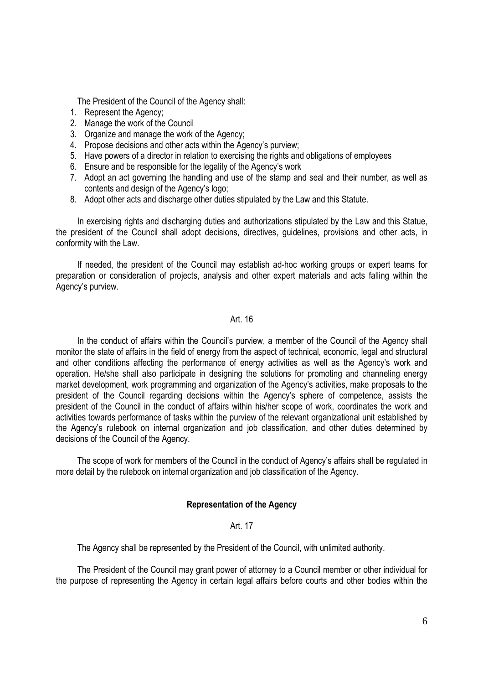The President of the Council of the Agency shall:

- 1. Represent the Agency;
- 2. Manage the work of the Council
- 3. Organize and manage the work of the Agency;
- 4. Propose decisions and other acts within the Agency's purview;
- 5. Have powers of a director in relation to exercising the rights and obligations of employees
- 6. Ensure and be responsible for the legality of the Agency's work
- 7. Adopt an act governing the handling and use of the stamp and seal and their number, as well as contents and design of the Agency's logo;
- 8. Adopt other acts and discharge other duties stipulated by the Law and this Statute.

In exercising rights and discharging duties and authorizations stipulated by the Law and this Statue, the president of the Council shall adopt decisions, directives, guidelines, provisions and other acts, in conformity with the Law.

If needed, the president of the Council may establish ad-hoc working groups or expert teams for preparation or consideration of projects, analysis and other expert materials and acts falling within the Agency's purview.

### Art. 16

In the conduct of affairs within the Council's purview, a member of the Council of the Agency shall monitor the state of affairs in the field of energy from the aspect of technical, economic, legal and structural and other conditions affecting the performance of energy activities as well as the Agency's work and operation. He/she shall also participate in designing the solutions for promoting and channeling energy market development, work programming and organization of the Agency's activities, make proposals to the president of the Council regarding decisions within the Agency's sphere of competence, assists the president of the Council in the conduct of affairs within his/her scope of work, coordinates the work and activities towards performance of tasks within the purview of the relevant organizational unit established by the Agency's rulebook on internal organization and job classification, and other duties determined by decisions of the Council of the Agency.

The scope of work for members of the Council in the conduct of Agency's affairs shall be regulated in more detail by the rulebook on internal organization and job classification of the Agency.

# Representation of the Agency

### Art. 17

The Agency shall be represented by the President of the Council, with unlimited authority.

The President of the Council may grant power of attorney to a Council member or other individual for the purpose of representing the Agency in certain legal affairs before courts and other bodies within the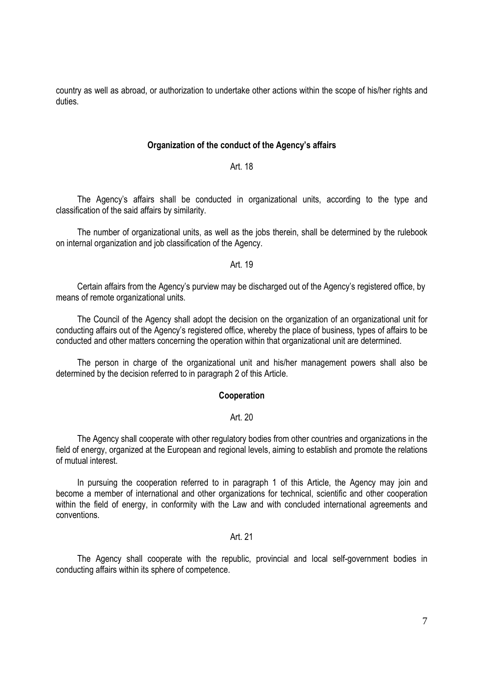country as well as abroad, or authorization to undertake other actions within the scope of his/her rights and duties.

### Organization of the conduct of the Agency's affairs

### Art. 18

The Agency's affairs shall be conducted in organizational units, according to the type and classification of the said affairs by similarity.

The number of organizational units, as well as the jobs therein, shall be determined by the rulebook on internal organization and job classification of the Agency.

### Art. 19

Certain affairs from the Agency's purview may be discharged out of the Agency's registered office, by means of remote organizational units.

The Council of the Agency shall adopt the decision on the organization of an organizational unit for conducting affairs out of the Agency's registered office, whereby the place of business, types of affairs to be conducted and other matters concerning the operation within that organizational unit are determined.

The person in charge of the organizational unit and his/her management powers shall also be determined by the decision referred to in paragraph 2 of this Article.

# Cooperation

### Art. 20

The Agency shall cooperate with other regulatory bodies from other countries and organizations in the field of energy, organized at the European and regional levels, aiming to establish and promote the relations of mutual interest.

In pursuing the cooperation referred to in paragraph 1 of this Article, the Agency may join and become a member of international and other organizations for technical, scientific and other cooperation within the field of energy, in conformity with the Law and with concluded international agreements and conventions.

### Art. 21

The Agency shall cooperate with the republic, provincial and local self-government bodies in conducting affairs within its sphere of competence.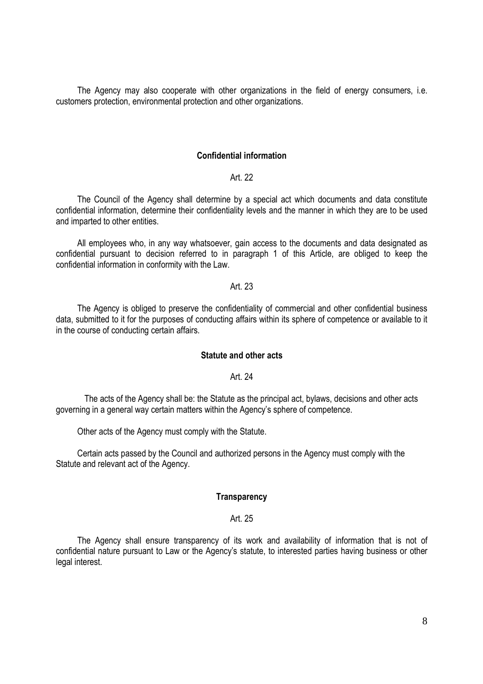The Agency may also cooperate with other organizations in the field of energy consumers, i.e. customers protection, environmental protection and other organizations.

### Confidential information

### Art. 22

The Council of the Agency shall determine by a special act which documents and data constitute confidential information, determine their confidentiality levels and the manner in which they are to be used and imparted to other entities.

All employees who, in any way whatsoever, gain access to the documents and data designated as confidential pursuant to decision referred to in paragraph 1 of this Article, are obliged to keep the confidential information in conformity with the Law.

#### Art. 23

The Agency is obliged to preserve the confidentiality of commercial and other confidential business data, submitted to it for the purposes of conducting affairs within its sphere of competence or available to it in the course of conducting certain affairs.

### Statute and other acts

### Art. 24

The acts of the Agency shall be: the Statute as the principal act, bylaws, decisions and other acts governing in a general way certain matters within the Agency's sphere of competence.

Other acts of the Agency must comply with the Statute.

Certain acts passed by the Council and authorized persons in the Agency must comply with the Statute and relevant act of the Agency.

### **Transparency**

#### Art. 25

The Agency shall ensure transparency of its work and availability of information that is not of confidential nature pursuant to Law or the Agency's statute, to interested parties having business or other legal interest.